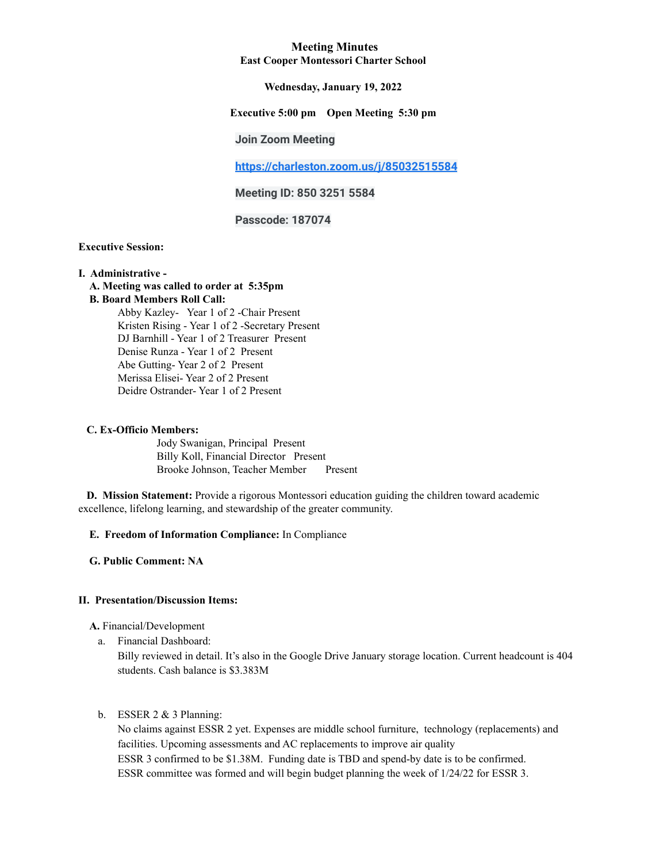### **Meeting Minutes East Cooper Montessori Charter School**

### **Wednesday, January 19, 2022**

# **Executive 5:00 pm Open Meeting 5:30 pm**

### **Join Zoom Meeting**

**<https://charleston.zoom.us/j/85032515584>**

**Meeting ID: 850 3251 5584**

**Passcode: 187074**

### **Executive Session:**

#### **I. Administrative -**

**A. Meeting was called to order at 5:35pm**

### **B. Board Members Roll Call:**

Abby Kazley- Year 1 of 2 -Chair Present Kristen Rising - Year 1 of 2 -Secretary Present DJ Barnhill - Year 1 of 2 Treasurer Present Denise Runza - Year 1 of 2 Present Abe Gutting- Year 2 of 2 Present Merissa Elisei- Year 2 of 2 Present Deidre Ostrander- Year 1 of 2 Present

#### **C. Ex-Officio Members:**

Jody Swanigan, Principal Present Billy Koll, Financial Director Present Brooke Johnson, Teacher Member Present

**D. Mission Statement:** Provide a rigorous Montessori education guiding the children toward academic excellence, lifelong learning, and stewardship of the greater community.

### **E. Freedom of Information Compliance:** In Compliance

**G. Public Comment: NA**

# **II. Presentation/Discussion Items:**

**A.** Financial/Development

a. Financial Dashboard:

Billy reviewed in detail. It's also in the Google Drive January storage location. Current headcount is 404 students. Cash balance is \$3.383M

### b. ESSER  $2 \& 3$  Planning:

No claims against ESSR 2 yet. Expenses are middle school furniture, technology (replacements) and facilities. Upcoming assessments and AC replacements to improve air quality ESSR 3 confirmed to be \$1.38M. Funding date is TBD and spend-by date is to be confirmed. ESSR committee was formed and will begin budget planning the week of 1/24/22 for ESSR 3.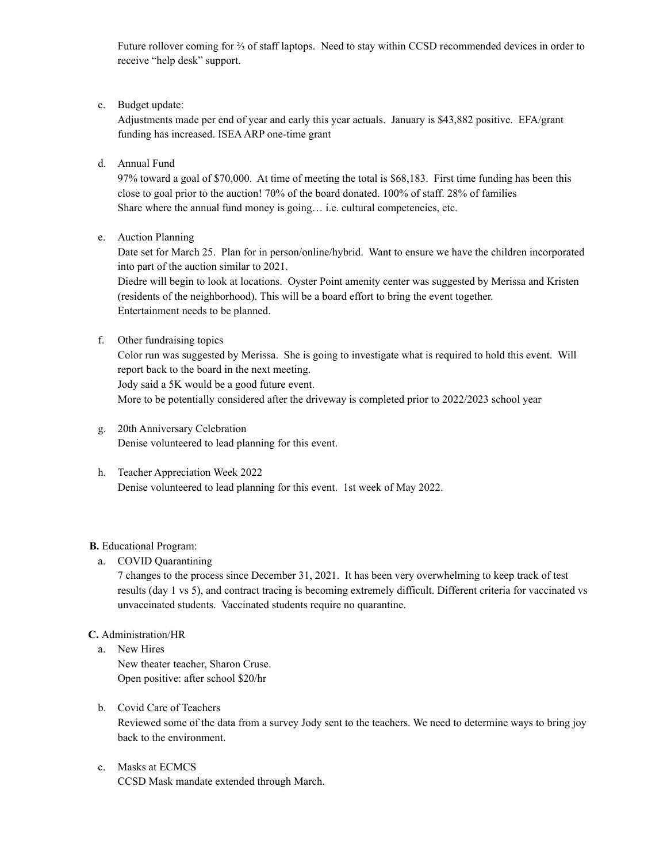Future rollover coming for ⅔ of staff laptops. Need to stay within CCSD recommended devices in order to receive "help desk" support.

c. Budget update:

Adjustments made per end of year and early this year actuals. January is \$43,882 positive. EFA/grant funding has increased. ISEAARP one-time grant

d. Annual Fund

97% toward a goal of \$70,000. At time of meeting the total is \$68,183. First time funding has been this close to goal prior to the auction! 70% of the board donated. 100% of staff. 28% of families Share where the annual fund money is going… i.e. cultural competencies, etc.

e. Auction Planning

Date set for March 25. Plan for in person/online/hybrid. Want to ensure we have the children incorporated into part of the auction similar to 2021.

Diedre will begin to look at locations. Oyster Point amenity center was suggested by Merissa and Kristen (residents of the neighborhood). This will be a board effort to bring the event together. Entertainment needs to be planned.

f. Other fundraising topics

Color run was suggested by Merissa. She is going to investigate what is required to hold this event. Will report back to the board in the next meeting. Jody said a 5K would be a good future event.

More to be potentially considered after the driveway is completed prior to 2022/2023 school year

- g. 20th Anniversary Celebration Denise volunteered to lead planning for this event.
- h. Teacher Appreciation Week 2022 Denise volunteered to lead planning for this event. 1st week of May 2022.

# **B.** Educational Program:

a. COVID Quarantining

7 changes to the process since December 31, 2021. It has been very overwhelming to keep track of test results (day 1 vs 5), and contract tracing is becoming extremely difficult. Different criteria for vaccinated vs unvaccinated students. Vaccinated students require no quarantine.

### **C.** Administration/HR

- a. New Hires New theater teacher, Sharon Cruse. Open positive: after school \$20/hr
- b. Covid Care of Teachers Reviewed some of the data from a survey Jody sent to the teachers. We need to determine ways to bring joy back to the environment.
- c. Masks at ECMCS CCSD Mask mandate extended through March.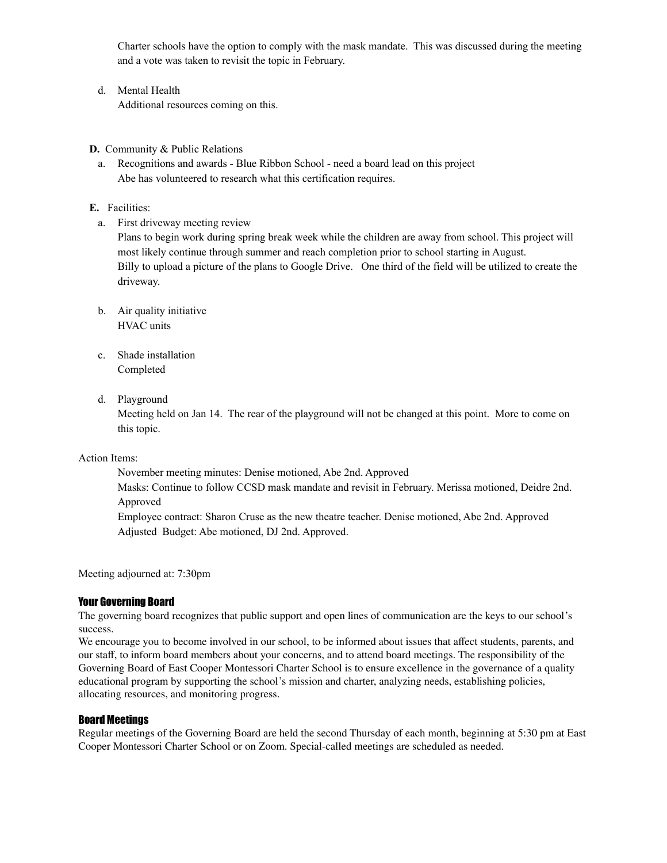Charter schools have the option to comply with the mask mandate. This was discussed during the meeting and a vote was taken to revisit the topic in February.

- d. Mental Health Additional resources coming on this.
- **D.** Community & Public Relations
	- a. Recognitions and awards Blue Ribbon School need a board lead on this project Abe has volunteered to research what this certification requires.
- **E.** Facilities:
	- a. First driveway meeting review

Plans to begin work during spring break week while the children are away from school. This project will most likely continue through summer and reach completion prior to school starting in August. Billy to upload a picture of the plans to Google Drive. One third of the field will be utilized to create the driveway.

- b. Air quality initiative HVAC units
- c. Shade installation Completed
- d. Playground

Meeting held on Jan 14. The rear of the playground will not be changed at this point. More to come on this topic.

Action Items:

November meeting minutes: Denise motioned, Abe 2nd. Approved

Masks: Continue to follow CCSD mask mandate and revisit in February. Merissa motioned, Deidre 2nd. Approved

Employee contract: Sharon Cruse as the new theatre teacher. Denise motioned, Abe 2nd. Approved Adjusted Budget: Abe motioned, DJ 2nd. Approved.

Meeting adjourned at: 7:30pm

### Your Governing Board

The governing board recognizes that public support and open lines of communication are the keys to our school's success.

We encourage you to become involved in our school, to be informed about issues that affect students, parents, and our staff, to inform board members about your concerns, and to attend board meetings. The responsibility of the Governing Board of East Cooper Montessori Charter School is to ensure excellence in the governance of a quality educational program by supporting the school's mission and charter, analyzing needs, establishing policies, allocating resources, and monitoring progress.

### Board Meetings

Regular meetings of the Governing Board are held the second Thursday of each month, beginning at 5:30 pm at East Cooper Montessori Charter School or on Zoom. Special-called meetings are scheduled as needed.